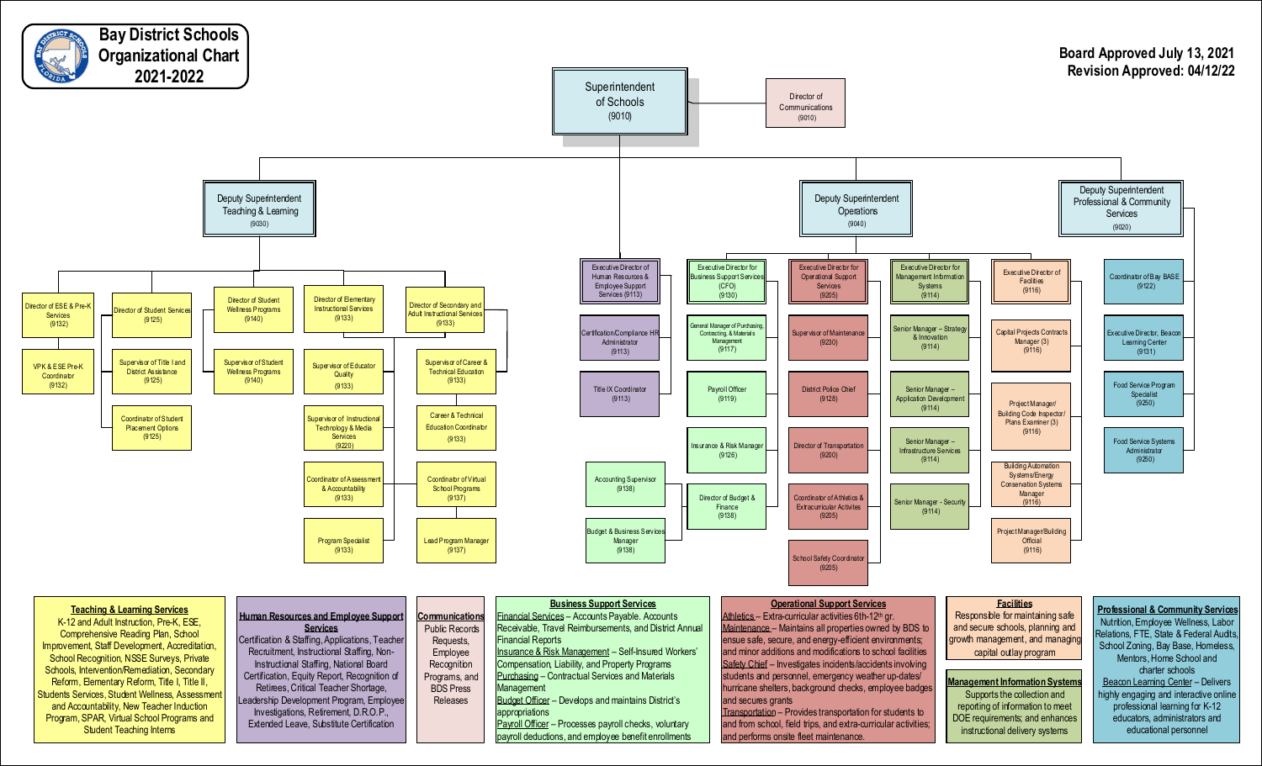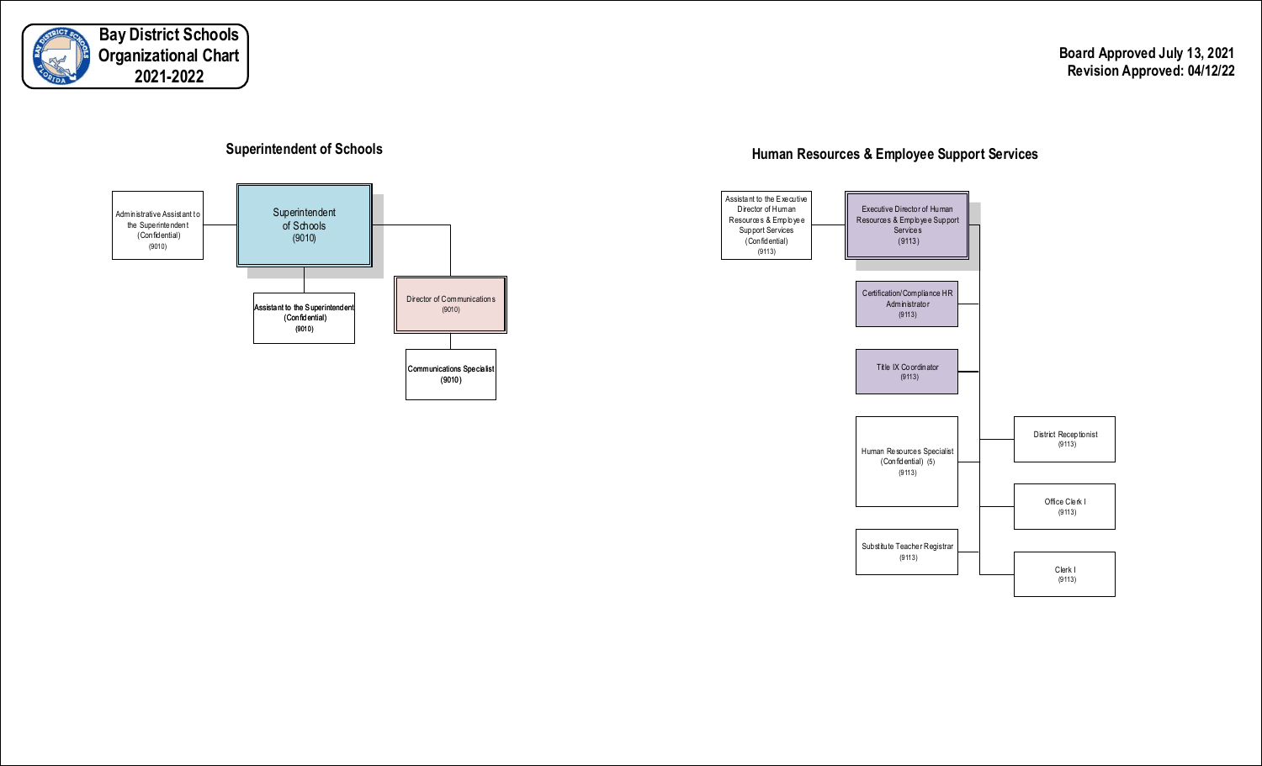

**Board Approved July 13, 2021 Revision Approved: 04/12/22**





# **Human Resources & Employee Support Services Superintendent of Schools**

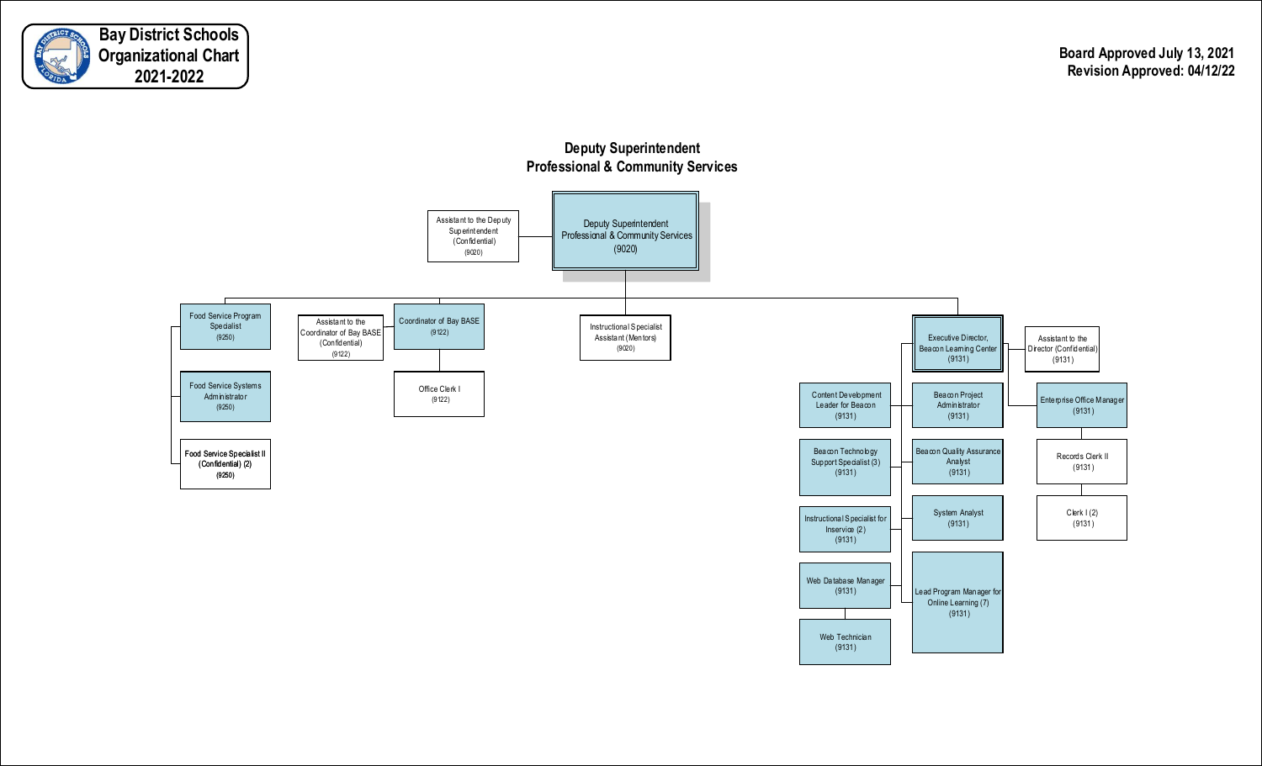



Web Technician (9131)

## **Deputy Superintendent Professional & Community Services**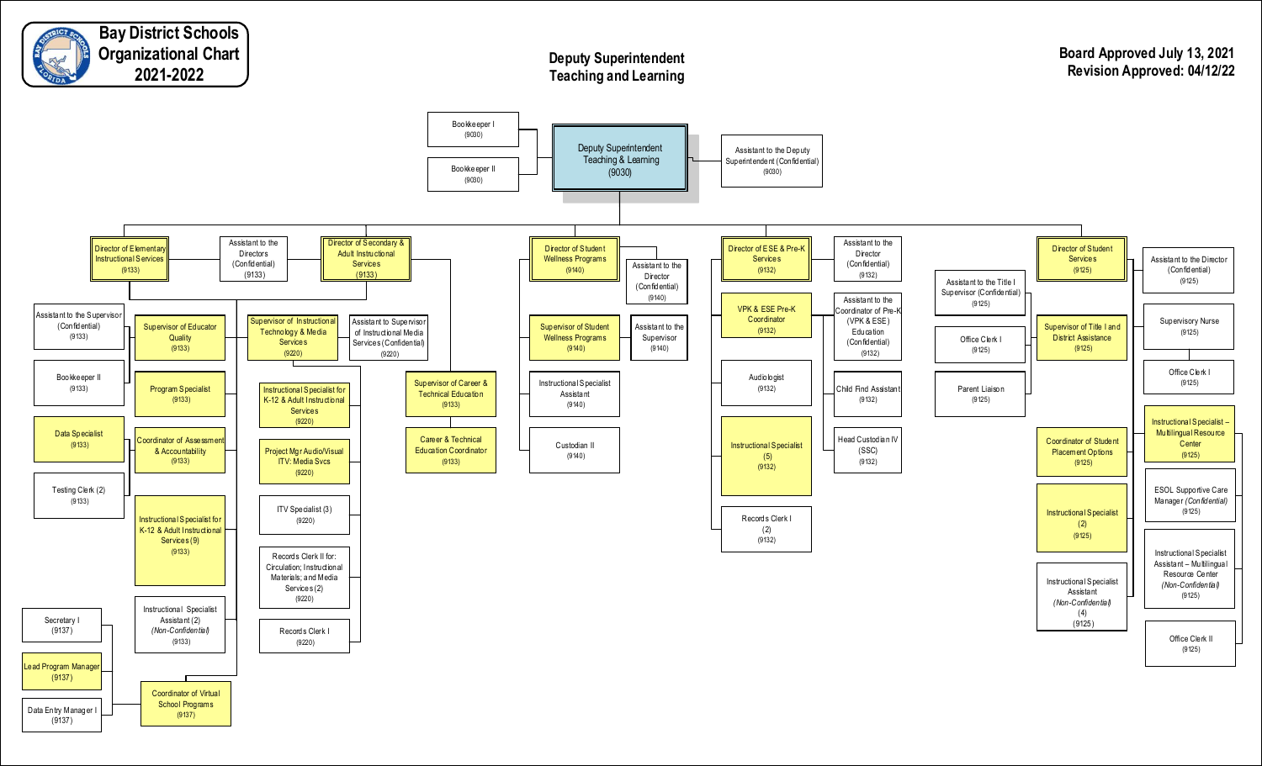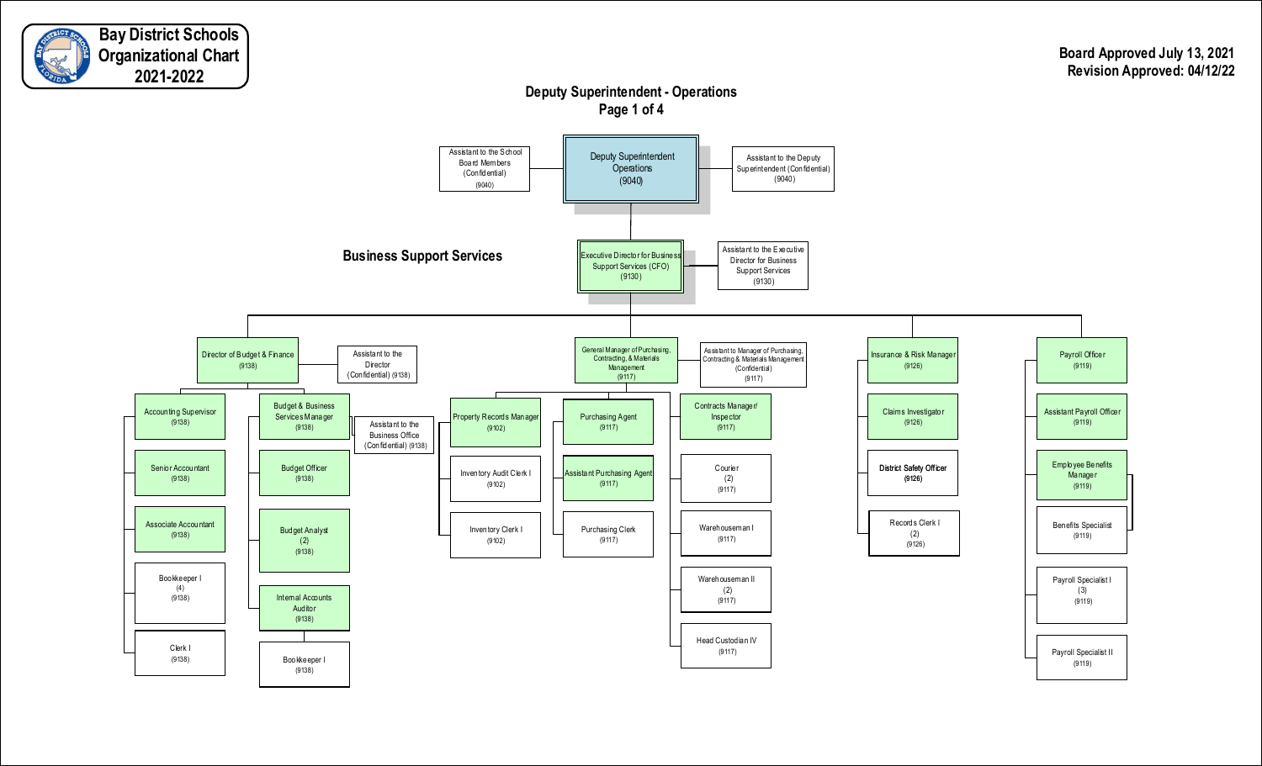![](_page_4_Picture_0.jpeg)

## **Deputy Superintendent - Operations Page 1 of 4**

![](_page_4_Figure_3.jpeg)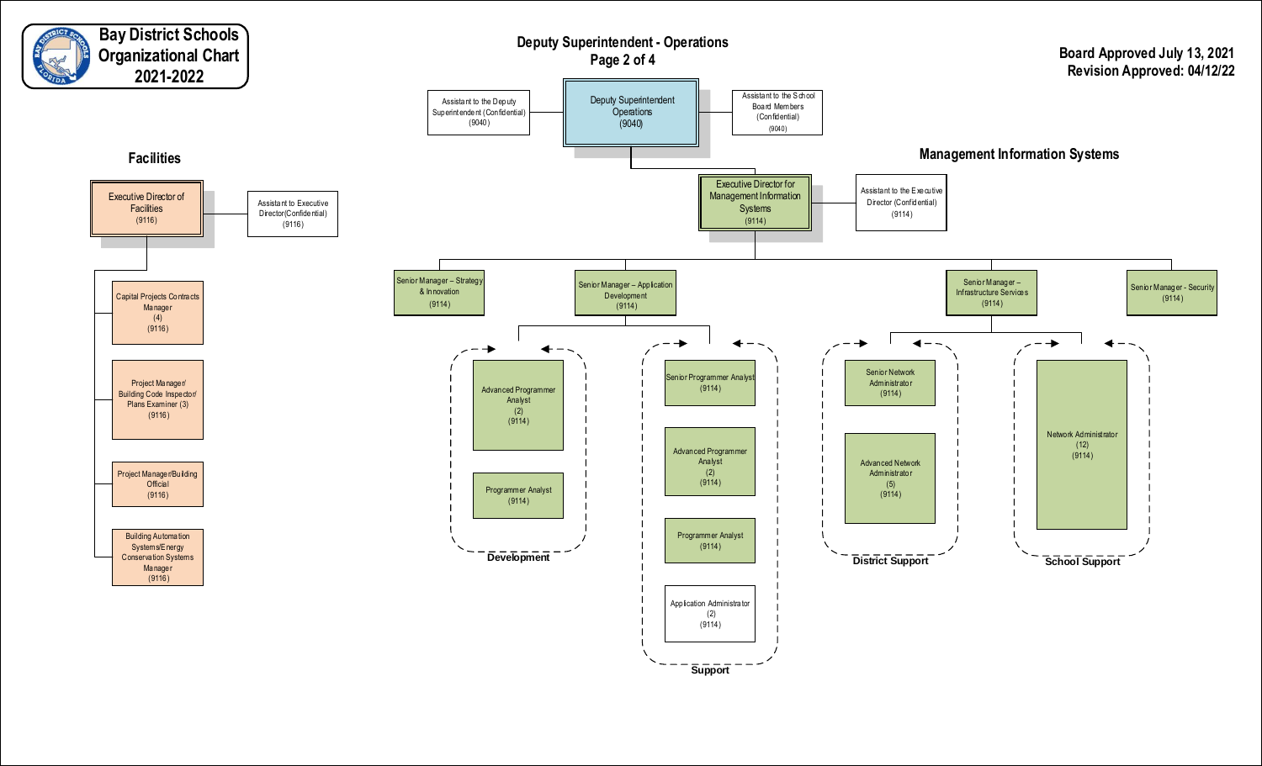![](_page_5_Figure_0.jpeg)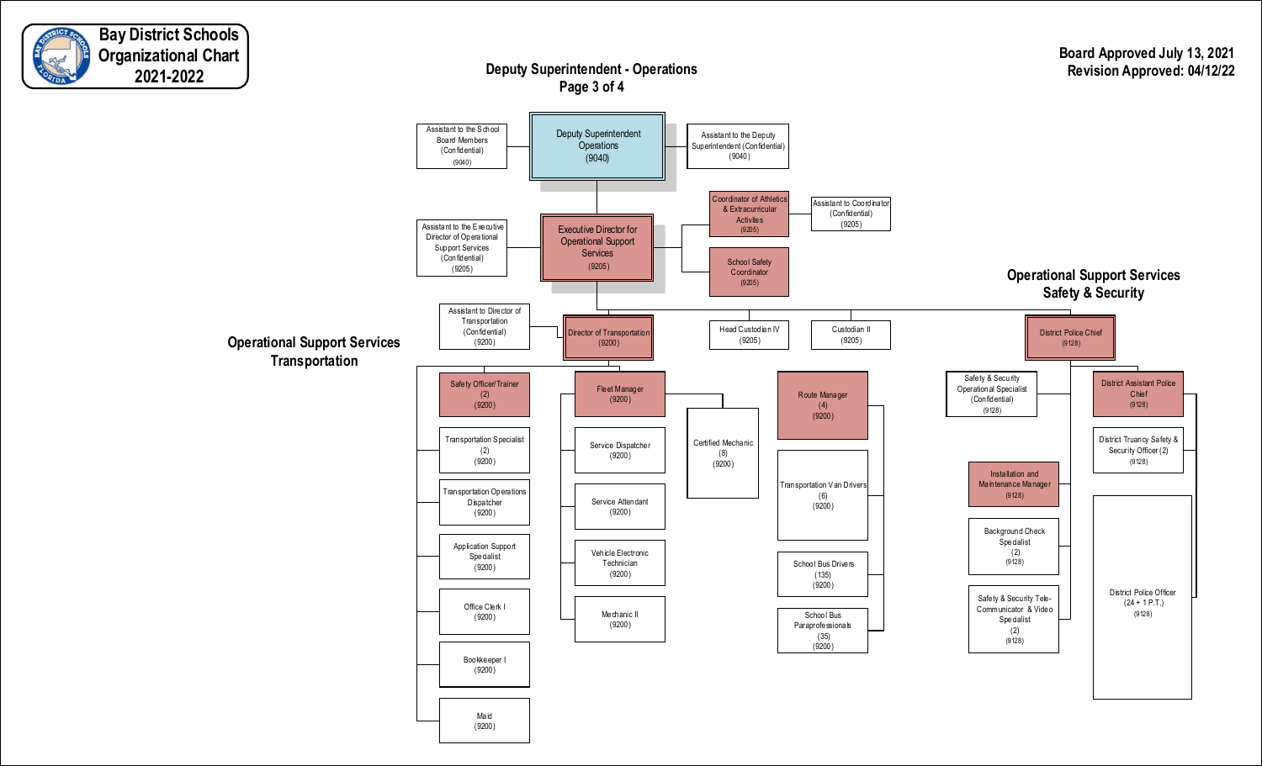![](_page_6_Picture_0.jpeg)

### **Board Approved July 13, 2021 Revision Approved: 04/12/22**

### **Deputy Superintendent - Operations Page 3 of 4**

![](_page_6_Figure_3.jpeg)